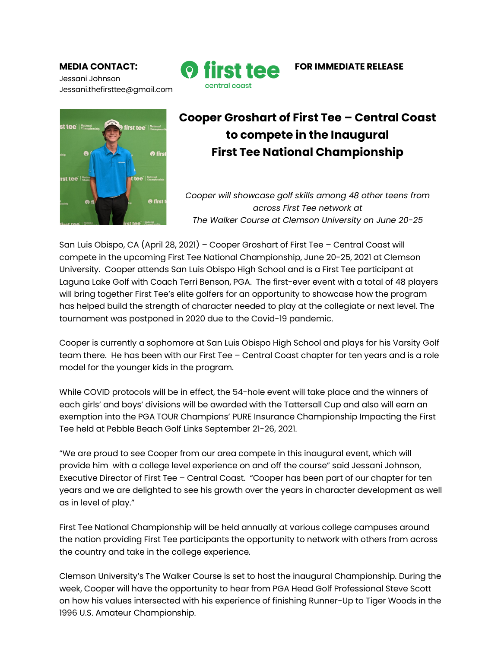Jessani Johnson Jessani.thefirsttee@gmail.com





## **Cooper Groshart of First Tee – Central Coast to compete in the Inaugural First Tee National Championship**

*Cooper will showcase golf skills among 48 other teens from across First Tee network at The Walker Course at Clemson University on June 20-25*

San Luis Obispo, CA (April 28, 2021) – Cooper Groshart of First Tee – Central Coast will compete in the upcoming First Tee National Championship, June 20-25, 2021 at Clemson University. Cooper attends San Luis Obispo High School and is a First Tee participant at Laguna Lake Golf with Coach Terri Benson, PGA. The first-ever event with a total of 48 players will bring together First Tee's elite golfers for an opportunity to showcase how the program has helped build the strength of character needed to play at the collegiate or next level. The tournament was postponed in 2020 due to the Covid-19 pandemic.

Cooper is currently a sophomore at San Luis Obispo High School and plays for his Varsity Golf team there. He has been with our First Tee – Central Coast chapter for ten years and is a role model for the younger kids in the program.

While COVID protocols will be in effect, the 54-hole event will take place and the winners of each girls' and boys' divisions will be awarded with the Tattersall Cup and also will earn an exemption into the PGA TOUR Champions' PURE Insurance Championship Impacting the First Tee held at Pebble Beach Golf Links September 21-26, 2021.

"We are proud to see Cooper from our area compete in this inaugural event, which will provide him with a college level experience on and off the course" said Jessani Johnson, Executive Director of First Tee – Central Coast. "Cooper has been part of our chapter for ten years and we are delighted to see his growth over the years in character development as well as in level of play."

First Tee National Championship will be held annually at various college campuses around the nation providing First Tee participants the opportunity to network with others from across the country and take in the college experience.

Clemson University's The Walker Course is set to host the inaugural Championship. During the week, Cooper will have the opportunity to hear from PGA Head Golf Professional Steve Scott on how his values intersected with his experience of finishing Runner-Up to Tiger Woods in the 1996 U.S. Amateur Championship.